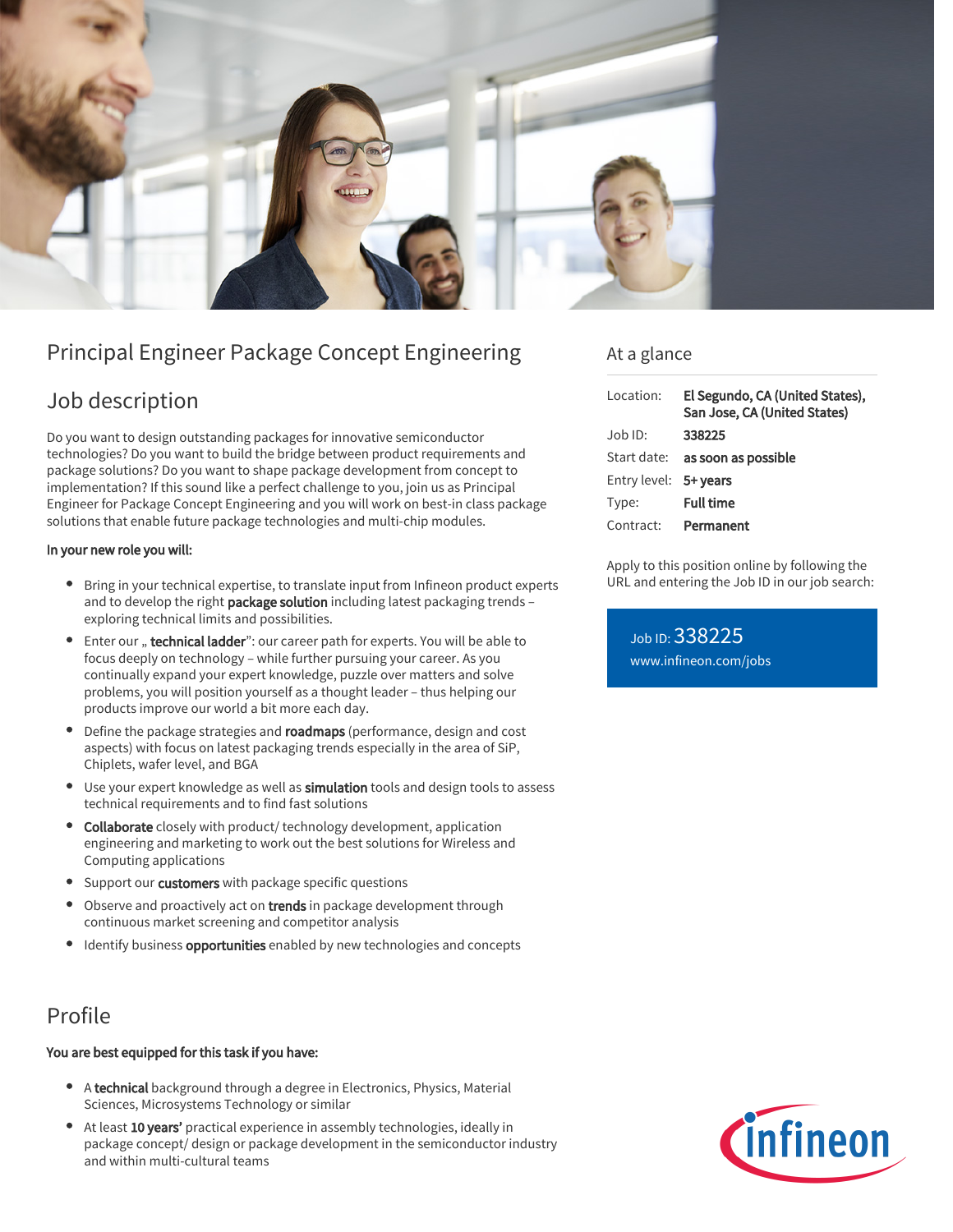

# Principal Engineer Package Concept Engineering

## Job description

Do you want to design outstanding packages for innovative semiconductor technologies? Do you want to build the bridge between product requirements and package solutions? Do you want to shape package development from concept to implementation? If this sound like a perfect challenge to you, join us as Principal Engineer for Package Concept Engineering and you will work on best-in class package solutions that enable future package technologies and multi-chip modules.

### In your new role you will:

- Bring in your technical expertise, to translate input from Infineon product experts and to develop the right package solution including latest packaging trends exploring technical limits and possibilities.
- Enter our " technical ladder": our career path for experts. You will be able to focus deeply on technology – while further pursuing your career. As you continually expand your expert knowledge, puzzle over matters and solve problems, you will position yourself as a thought leader – thus helping our products improve our world a bit more each day.
- Define the package strategies and roadmaps (performance, design and cost aspects) with focus on latest packaging trends especially in the area of SiP, Chiplets, wafer level, and BGA
- **Use your expert knowledge as well as simulation tools and design tools to assess** technical requirements and to find fast solutions
- Collaborate closely with product/ technology development, application engineering and marketing to work out the best solutions for Wireless and Computing applications
- Support our customers with package specific questions
- Observe and proactively act on trends in package development through continuous market screening and competitor analysis
- **I** Identify business **opportunities** enabled by new technologies and concepts

## Profile

### You are best equipped for this task if you have:

- A technical background through a degree in Electronics, Physics, Material Sciences, Microsystems Technology or similar
- At least 10 years' practical experience in assembly technologies, ideally in package concept/ design or package development in the semiconductor industry and within multi-cultural teams

### At a glance

| Location:             | El Segundo, CA (United States),<br>San Jose, CA (United States) |
|-----------------------|-----------------------------------------------------------------|
| $Job$ ID:             | 338225                                                          |
|                       | Start date: as soon as possible                                 |
| Entry level: 5+ years |                                                                 |
| Type:                 | <b>Full time</b>                                                |
| Contract:             | Permanent                                                       |

Apply to this position online by following the URL and entering the Job ID in our job search:

Job ID: 338225 [www.infineon.com/jobs](https://www.infineon.com/jobs)

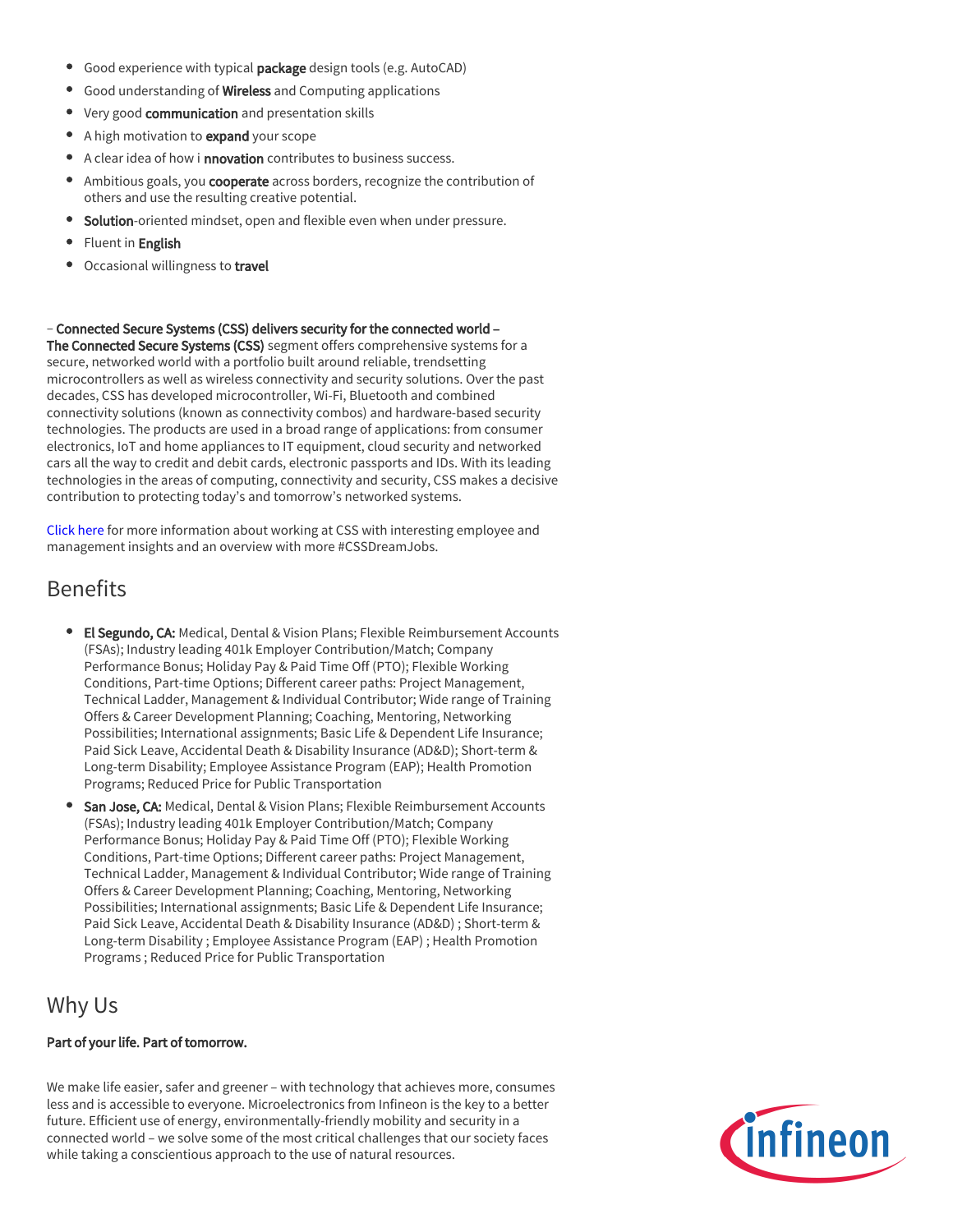- Good experience with typical package design tools (e.g. AutoCAD)
- Good understanding of Wireless and Computing applications
- Very good communication and presentation skills
- A high motivation to expand your scope
- A clear idea of how i **nnovation** contributes to business success.
- Ambitious goals, you **cooperate** across borders, recognize the contribution of others and use the resulting creative potential.
- **Solution**-oriented mindset, open and flexible even when under pressure.
- Fluent in English
- Occasional willingness to travel

– Connected Secure Systems (CSS) delivers security for the connected world –

The Connected Secure Systems (CSS) segment offers comprehensive systems for a secure, networked world with a portfolio built around reliable, trendsetting microcontrollers as well as wireless connectivity and security solutions. Over the past decades, CSS has developed microcontroller, Wi-Fi, Bluetooth and combined connectivity solutions (known as connectivity combos) and hardware-based security technologies. The products are used in a broad range of applications: from consumer electronics, IoT and home appliances to IT equipment, cloud security and networked cars all the way to credit and debit cards, electronic passports and IDs. With its leading technologies in the areas of computing, connectivity and security, CSS makes a decisive contribution to protecting today's and tomorrow's networked systems.

[Click here](https://www.infineon.com/cms/en/careers/working-at-infineon/cssdreamjob/) for more information about working at CSS with interesting employee and management insights and an overview with more #CSSDreamJobs.

## Benefits

- **El Segundo, CA:** Medical, Dental & Vision Plans; Flexible Reimbursement Accounts (FSAs); Industry leading 401k Employer Contribution/Match; Company Performance Bonus; Holiday Pay & Paid Time Off (PTO); Flexible Working Conditions, Part-time Options; Different career paths: Project Management, Technical Ladder, Management & Individual Contributor; Wide range of Training Offers & Career Development Planning; Coaching, Mentoring, Networking Possibilities; International assignments; Basic Life & Dependent Life Insurance; Paid Sick Leave, Accidental Death & Disability Insurance (AD&D); Short-term & Long-term Disability; Employee Assistance Program (EAP); Health Promotion Programs; Reduced Price for Public Transportation
- San Jose, CA: Medical, Dental & Vision Plans; Flexible Reimbursement Accounts (FSAs); Industry leading 401k Employer Contribution/Match; Company Performance Bonus; Holiday Pay & Paid Time Off (PTO); Flexible Working Conditions, Part-time Options; Different career paths: Project Management, Technical Ladder, Management & Individual Contributor; Wide range of Training Offers & Career Development Planning; Coaching, Mentoring, Networking Possibilities; International assignments; Basic Life & Dependent Life Insurance; Paid Sick Leave, Accidental Death & Disability Insurance (AD&D) ; Short-term & Long-term Disability ; Employee Assistance Program (EAP) ; Health Promotion Programs ; Reduced Price for Public Transportation

## Why Us

### Part of your life. Part of tomorrow.

We make life easier, safer and greener – with technology that achieves more, consumes less and is accessible to everyone. Microelectronics from Infineon is the key to a better future. Efficient use of energy, environmentally-friendly mobility and security in a connected world – we solve some of the most critical challenges that our society faces while taking a conscientious approach to the use of natural resources.